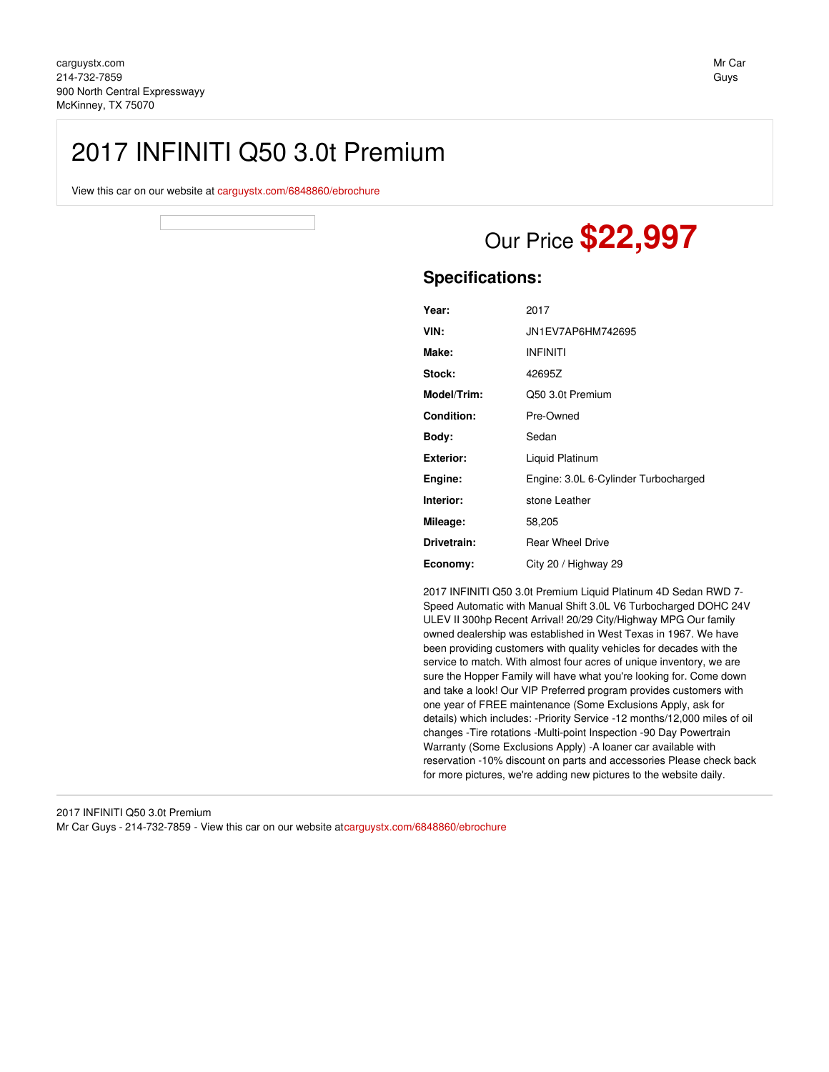## 2017 INFINITI Q50 3.0t Premium

View this car on our website at [carguystx.com/6848860/ebrochure](file:///6848860/ebrochure)

# Our Price **\$22,997**

## **Specifications:**

| Year:              | 2017                                 |
|--------------------|--------------------------------------|
| VIN:               | JN1EV7AP6HM742695                    |
| Make:              | <b>INFINITI</b>                      |
| Stock:             | 42695Z                               |
| <b>Model/Trim:</b> | Q50 3.0t Premium                     |
| Condition:         | Pre-Owned                            |
| Body:              | Sedan                                |
| Exterior:          | Liquid Platinum                      |
| Engine:            | Engine: 3.0L 6-Cylinder Turbocharged |
| Interior:          | stone Leather                        |
| Mileage:           | 58,205                               |
| Drivetrain:        | <b>Rear Wheel Drive</b>              |
| Economy:           | City 20 / Highway 29                 |

2017 INFINITI Q50 3.0t Premium Liquid Platinum 4D Sedan RWD 7- Speed Automatic with Manual Shift 3.0L V6 Turbocharged DOHC 24V ULEV II 300hp Recent Arrival! 20/29 City/Highway MPG Our family owned dealership was established in West Texas in 1967. We have been providing customers with quality vehicles for decades with the service to match. With almost four acres of unique inventory, we are sure the Hopper Family will have what you're looking for. Come down and take a look! Our VIP Preferred program provides customers with one year of FREE maintenance (Some Exclusions Apply, ask for details) which includes: -Priority Service -12 months/12,000 miles of oil changes -Tire rotations -Multi-point Inspection -90 Day Powertrain Warranty (Some Exclusions Apply) -A loaner car available with reservation -10% discount on parts and accessories Please check back for more pictures, we're adding new pictures to the website daily.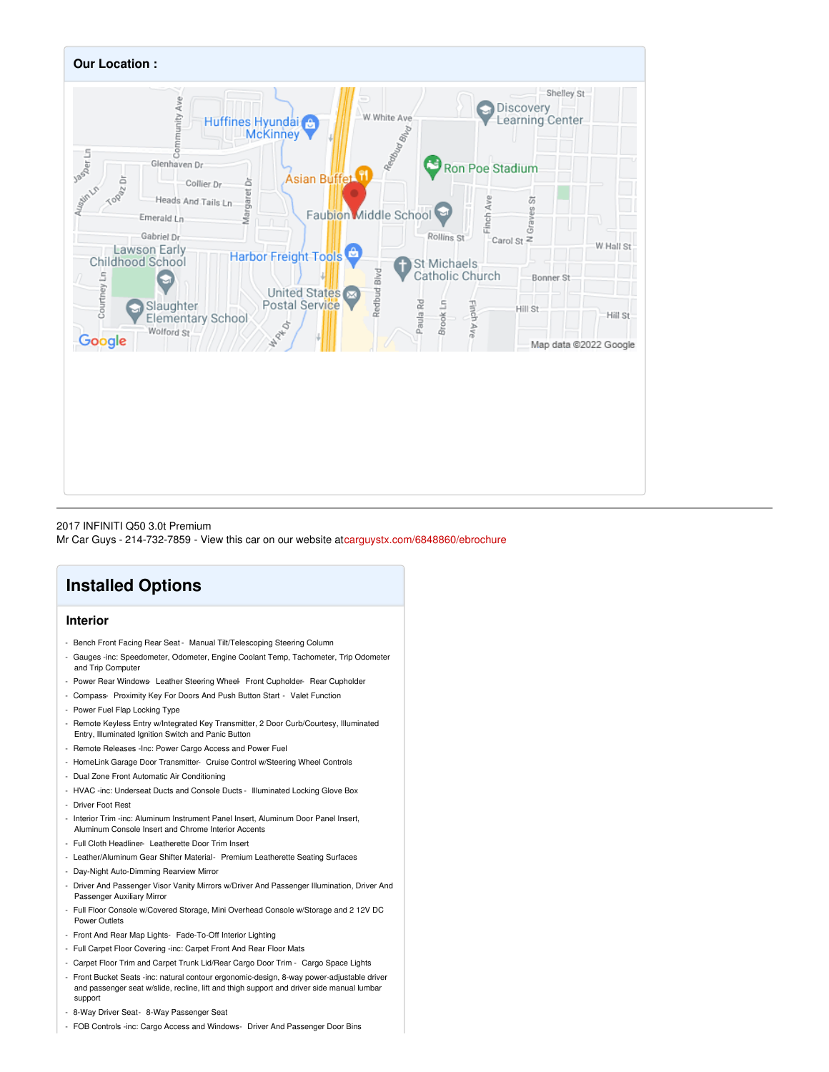

## 2017 INFINITI Q50 3.0t Premium

Mr Car Guys - 214-732-7859 - View this car on our website a[tcarguystx.com/6848860/ebrochure](file:///6848860/ebrochure)

## **Installed Options**

## **Interior**

- Bench Front Facing Rear Seat Manual Tilt/Telescoping Steering Column
- Gauges -inc: Speedometer, Odometer, Engine Coolant Temp, Tachometer, Trip Odometer and Trip Computer
- Power Rear Windows-Leather Steering Wheel- Front Cupholder- Rear Cupholder
- Compass- Proximity Key For Doors And Push Button Start Valet Function
- Power Fuel Flap Locking Type
- Remote Keyless Entry w/Integrated Key Transmitter, 2 Door Curb/Courtesy, Illuminated Entry, Illuminated Ignition Switch and Panic Button
- Remote Releases -Inc: Power Cargo Access and Power Fuel
- HomeLink Garage Door Transmitter- Cruise Control w/Steering Wheel Controls
- Dual Zone Front Automatic Air Conditioning
- HVAC -inc: Underseat Ducts and Console Ducts Illuminated Locking Glove Box
- Driver Foot Rest
- Interior Trim -inc: Aluminum Instrument Panel Insert, Aluminum Door Panel Insert, Aluminum Console Insert and Chrome Interior Accents
- Full Cloth Headliner- Leatherette Door Trim Insert
- Leather/Aluminum Gear Shifter Material- Premium Leatherette Seating Surfaces
- Day-Night Auto-Dimming Rearview Mirror
- Driver And Passenger Visor Vanity Mirrors w/Driver And Passenger Illumination, Driver And Passenger Auxiliary Mirror
- Full Floor Console w/Covered Storage, Mini Overhead Console w/Storage and 2 12V DC Power Outlets
- Front And Rear Map Lights- Fade-To-Off Interior Lighting
- Full Carpet Floor Covering -inc: Carpet Front And Rear Floor Mats
- Carpet Floor Trim and Carpet Trunk Lid/Rear Cargo Door Trim Cargo Space Lights
- Front Bucket Seats -inc: natural contour ergonomic-design, 8-way power-adjustable driver and passenger seat w/slide, recline, lift and thigh support and driver side manual lumbar support
- 8-Way Driver Seat- 8-Way Passenger Seat
- FOB Controls -inc: Cargo Access and Windows- Driver And Passenger Door Bins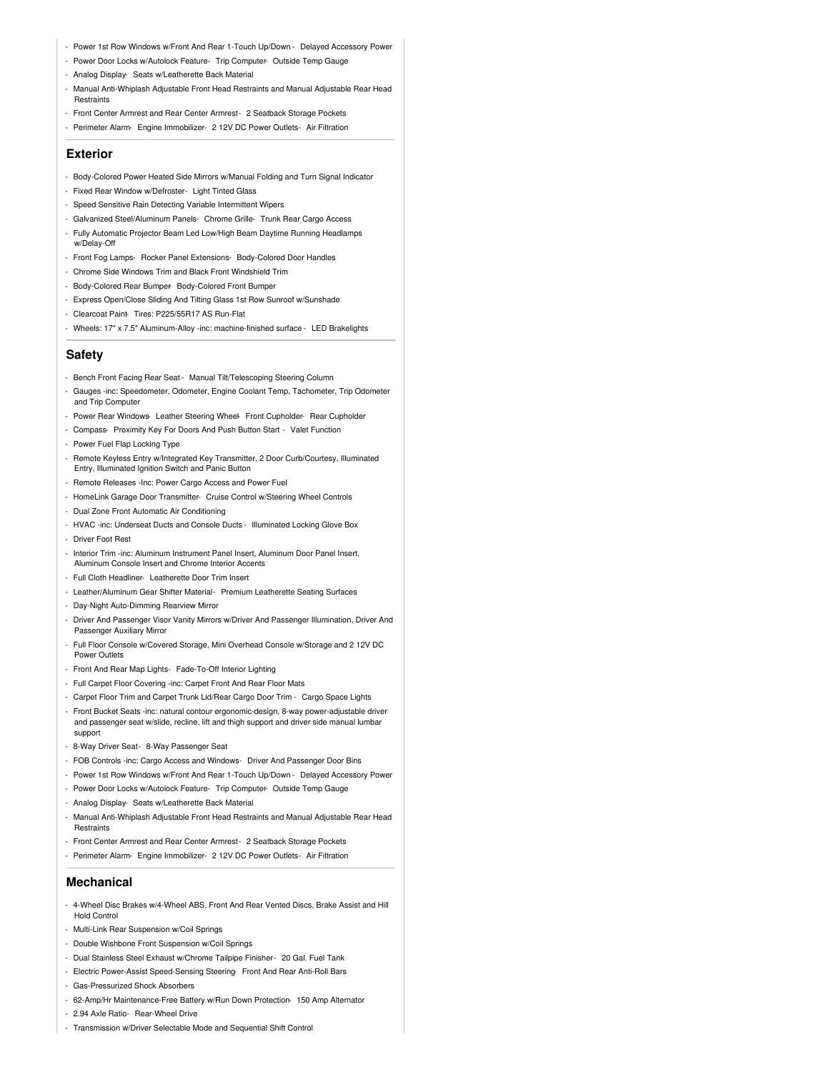- Power 1st Row Windows w/Front And Rear 1-Touch Up/Down Delayed Accessory Power
- Power Door Locks w/Autolock Feature- Trip Computer- Outside Temp Gauge
- Analog Display- Seats w/Leatherette Back Material
- Manual Anti-Whiplash Adjustable Front Head Restraints and Manual Adjustable Rear Head **Restraints**
- Front Center Armrest and Rear Center Armrest- 2 Seatback Storage Pockets
- Perimeter Alarm- Engine Immobilizer- 2 12V DC Power Outlets- Air Filtration

### **Exterior**

- Body-Colored Power Heated Side Mirrors w/Manual Folding and Turn Signal Indicator
- Fixed Rear Window w/Defroster- Light Tinted Glass
- Speed Sensitive Rain Detecting Variable Intermittent Wipers
- Galvanized Steel/Aluminum Panels- Chrome Grille- Trunk Rear Cargo Access
- Fully Automatic Projector Beam Led Low/High Beam Daytime Running Headlamps w/Delay-Off
- Front Fog Lamps- Rocker Panel Extensions- Body-Colored Door Handles
- Chrome Side Windows Trim and Black Front Windshield Trim
- Body-Colored Rear Bumper- Body-Colored Front Bumper
- Express Open/Close Sliding And Tilting Glass 1st Row Sunroof w/Sunshade
- Clearcoat Paint- Tires: P225/55R17 AS Run-Flat
- Wheels: 17" x 7.5" Aluminum-Alloy -inc: machine-finished surface LED Brakelights

### **Safety**

- Bench Front Facing Rear Seat Manual Tilt/Telescoping Steering Column
- Gauges -inc: Speedometer, Odometer, Engine Coolant Temp, Tachometer, Trip Odometer and Trip Computer
- Power Rear Windows- Leather Steering Wheel- Front Cupholder- Rear Cupholder
- Compass- Proximity Key For Doors And Push Button Start Valet Function
- Power Fuel Flap Locking Type
- Remote Keyless Entry w/Integrated Key Transmitter, 2 Door Curb/Courtesy, Illuminated Entry, Illuminated Ignition Switch and Panic Button
- Remote Releases -Inc: Power Cargo Access and Power Fuel
- HomeLink Garage Door Transmitter- Cruise Control w/Steering Wheel Controls
- Dual Zone Front Automatic Air Conditioning
- HVAC -inc: Underseat Ducts and Console Ducts Illuminated Locking Glove Box
- Driver Foot Rest
- Interior Trim -inc: Aluminum Instrument Panel Insert, Aluminum Door Panel Insert, Aluminum Console Insert and Chrome Interior Accents
- Full Cloth Headliner- Leatherette Door Trim Insert
- Leather/Aluminum Gear Shifter Material- Premium Leatherette Seating Surfaces
- Day-Night Auto-Dimming Rearview Mirror
- Driver And Passenger Visor Vanity Mirrors w/Driver And Passenger Illumination, Driver And Passenger Auxiliary Mirror
- Full Floor Console w/Covered Storage, Mini Overhead Console w/Storage and 2 12V DC Power Outlets
- Front And Rear Map Lights- Fade-To-Off Interior Lighting
- Full Carpet Floor Covering -inc: Carpet Front And Rear Floor Mats
- Carpet Floor Trim and Carpet Trunk Lid/Rear Cargo Door Trim Cargo Space Lights
- Front Bucket Seats -inc: natural contour ergonomic-design, 8-way power-adjustable driver and passenger seat w/slide, recline, lift and thigh support and driver side manual lumbar support
- 8-Way Driver Seat- 8-Way Passenger Seat
- FOB Controls -inc: Cargo Access and Windows- Driver And Passenger Door Bins
- Power 1st Row Windows w/Front And Rear 1-Touch Up/Down Delayed Accessory Power
- Power Door Locks w/Autolock Feature- Trip Computer- Outside Temp Gauge
- Analog Display- Seats w/Leatherette Back Material
- Manual Anti-Whiplash Adjustable Front Head Restraints and Manual Adjustable Rear Head Restraints
- Front Center Armrest and Rear Center Armrest- 2 Seatback Storage Pockets
- Perimeter Alarm- Engine Immobilizer- 2 12V DC Power Outlets- Air Filtration

#### **Mechanical**

- 4-Wheel Disc Brakes w/4-Wheel ABS, Front And Rear Vented Discs, Brake Assist and Hill Hold Control
- Multi-Link Rear Suspension w/Coil Springs
- Double Wishbone Front Suspension w/Coil Springs
- Dual Stainless Steel Exhaust w/Chrome Tailpipe Finisher- 20 Gal. Fuel Tank
- Electric Power-Assist Speed-Sensing Steering- Front And Rear Anti-Roll Bars
- Gas-Pressurized Shock Absorbers
- 62-Amp/Hr Maintenance-Free Battery w/Run Down Protection- 150 Amp Alternator
- 2.94 Axle Ratio- Rear-Wheel Drive
- Transmission w/Driver Selectable Mode and Sequential Shift Control